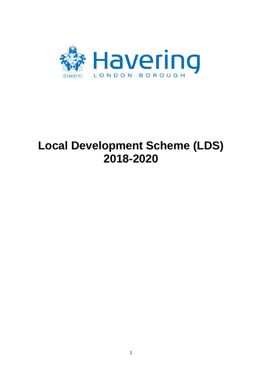

# **Local Development Scheme (LDS) 2018-2020**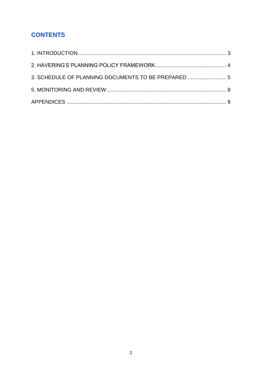# **CONTENTS**

| 3. SCHEDULE OF PLANNING DOCUMENTS TO BE PREPARED  5 |  |
|-----------------------------------------------------|--|
|                                                     |  |
|                                                     |  |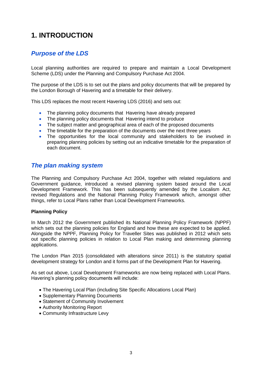# <span id="page-2-0"></span>**1. INTRODUCTION**

## *Purpose of the LDS*

Local planning authorities are required to prepare and maintain a Local Development Scheme (LDS) under the Planning and Compulsory Purchase Act 2004.

The purpose of the LDS is to set out the plans and policy documents that will be prepared by the London Borough of Havering and a timetable for their delivery.

This LDS replaces the most recent Havering LDS (2016) and sets out:

- The planning policy documents that Havering have already prepared
- The planning policy documents that Havering intend to produce
- The subject matter and geographical area of each of the proposed documents
- The timetable for the preparation of the documents over the next three years
- The opportunities for the local community and stakeholders to be involved in preparing planning policies by setting out an indicative timetable for the preparation of each document.

## *The plan making system*

The Planning and Compulsory Purchase Act 2004, together with related regulations and Government guidance, introduced a revised planning system based around the Local Development Framework. This has been subsequently amended by the Localism Act, revised Regulations and the National Planning Policy Framework which, amongst other things, refer to Local Plans rather than Local Development Frameworks.

#### **Planning Policy**

In March 2012 the Government published its National Planning Policy Framework (NPPF) which sets out the planning policies for England and how these are expected to be applied. Alongside the NPPF, Planning Policy for Traveller Sites was published in 2012 which sets out specific planning policies in relation to Local Plan making and determining planning applications.

The London Plan 2015 (consolidated with alterations since 2011) is the statutory spatial development strategy for London and it forms part of the Development Plan for Havering.

As set out above, Local Development Frameworks are now being replaced with Local Plans. Havering's planning policy documents will include:

- The Havering Local Plan (including Site Specific Allocations Local Plan)
- Supplementary Planning Documents
- Statement of Community Involvement
- Authority Monitoring Report
- Community Infrastructure Levy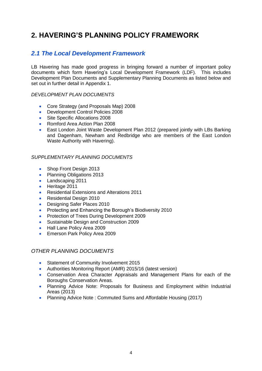# <span id="page-3-0"></span>**2. HAVERING'S PLANNING POLICY FRAMEWORK**

# *2.1 The Local Development Framework*

LB Havering has made good progress in bringing forward a number of important policy documents which form Havering's Local Development Framework (LDF). This includes D*e*velopment Plan Documents and Supplementary Planning Documents as listed below and set out in further detail in Appendix 1.

#### *DEVELOPMENT PLAN DOCUMENTS*

- Core Strategy (and Proposals Map) 2008
- Development Control Policies 2008
- Site Specific Allocations 2008
- Romford Area Action Plan 2008
- East London Joint Waste Development Plan 2012 (prepared jointly with LBs Barking and Dagenham, Newham and Redbridge who are members of the East London Waste Authority with Havering).

#### *SUPPLEMENTARY PLANNING DOCUMENTS*

- Shop Front Design 2013
- Planning Obligations 2013
- Landscaping 2011
- Heritage 2011
- Residential Extensions and Alterations 2011
- Residential Design 2010
- Designing Safer Places 2010
- Protecting and Enhancing the Borough's Biodiversity 2010
- Protection of Trees During Development 2009
- Sustainable Design and Construction 2009
- Hall Lane Policy Area 2009
- **Emerson Park Policy Area 2009**

#### *OTHER PLANNING DOCUMENTS*

- **Statement of Community Involvement 2015**
- Authorities Monitoring Report (AMR) 2015/16 (latest version)
- Conservation Area Character Appraisals and Management Plans for each of the Boroughs Conservation Areas.
- Planning Advice Note: Proposals for Business and Employment within Industrial Areas (2013)
- Planning Advice Note: Commuted Sums and Affordable Housing (2017)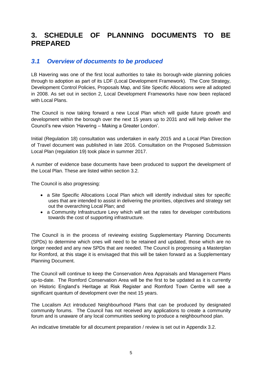# <span id="page-4-0"></span>**3. SCHEDULE OF PLANNING DOCUMENTS TO BE PREPARED**

## *3.1 Overview of documents to be produced*

LB Havering was one of the first local authorities to take its borough-wide planning policies through to adoption as part of its LDF (Local Development Framework). The Core Strategy, Development Control Policies, Proposals Map, and Site Specific Allocations were all adopted in 2008. As set out in section 2, Local Development Frameworks have now been replaced with Local Plans.

The Council is now taking forward a new Local Plan which will guide future growth and development within the borough over the next 15 years up to 2031 and will help deliver the Council's new vision 'Havering – Making a Greater London'.

Initial (Regulation 18) consultation was undertaken in early 2015 and a Local Plan Direction of Travel document was published in late 2016. Consultation on the Proposed Submission Local Plan (regulation 19) took place in summer 2017.

A number of evidence base documents have been produced to support the development of the Local Plan. These are listed within section 3.2.

The Council is also progressing:

- a Site Specific Allocations Local Plan which will identify individual sites for specific uses that are intended to assist in delivering the priorities, objectives and strategy set out the overarching Local Plan; and
- a Community Infrastructure Levy which will set the rates for developer contributions towards the cost of supporting infrastructure.

The Council is in the process of reviewing existing Supplementary Planning Documents (SPDs) to determine which ones will need to be retained and updated, those which are no longer needed and any new SPDs that are needed. The Council is progressing a Masterplan for Romford, at this stage it is envisaged that this will be taken forward as a Supplementary Planning Document.

The Council will continue to keep the Conservation Area Appraisals and Management Plans up-to-date. The Romford Conservation Area will be the first to be updated as it is currently on Historic England's Heritage at Risk Register and Romford Town Centre will see a significant quantum of development over the next 15 years.

The Localism Act introduced Neighbourhood Plans that can be produced by designated community forums. The Council has not received any applications to create a community forum and is unaware of any local communities seeking to produce a neighbourhood plan.

An indicative timetable for all document preparation / review is set out in Appendix 3.2.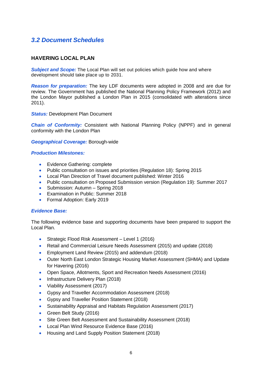# *3.2 Document Schedules*

#### **HAVERING LOCAL PLAN**

**Subject and Scope:** The Local Plan will set out policies which guide how and where development should take place up to 2031.

*Reason for preparation:* The key LDF documents were adopted in 2008 and are due for review. The Government has published the National Planning Policy Framework (2012) and the London Mayor published a London Plan in 2015 (consolidated with alterations since 2011).

*Status: Development Plan Document* 

*Chain of Conformity:* Consistent with National Planning Policy (NPPF) and in general conformity with the London Plan

*Geographical Coverage:* Borough-wide

#### *Production Milestones:*

- Evidence Gathering: complete
- Public consultation on issues and priorities (Regulation 18): Spring 2015
- Local Plan Direction of Travel document published: Winter 2016
- Public consultation on Proposed Submission version (Regulation 19): Summer 2017
- Submission: Autumn Spring 2018
- **Examination in Public: Summer 2018**
- Formal Adoption: Early 2019

#### *Evidence Base:*

The following evidence base and supporting documents have been prepared to support the Local Plan.

- Strategic Flood Risk Assessment Level 1 (2016)
- Retail and Commercial Leisure Needs Assessment (2015) and update (2018)
- **Employment Land Review (2015) and addendum (2018)**
- Outer North East London Strategic Housing Market Assessment (SHMA) and Update for Havering (2016)
- Open Space, Allotments, Sport and Recreation Needs Assessment (2016)
- Infrastructure Delivery Plan (2018)
- Viability Assessment (2017)
- Gypsy and Traveller Accommodation Assessment (2018)
- Gypsy and Traveller Position Statement (2018)
- Sustainability Appraisal and Habitats Regulation Assessment (2017)
- Green Belt Study (2016)
- Site Green Belt Assessment and Sustainability Assessment (2018)
- Local Plan Wind Resource Evidence Base (2016)
- Housing and Land Supply Position Statement (2018)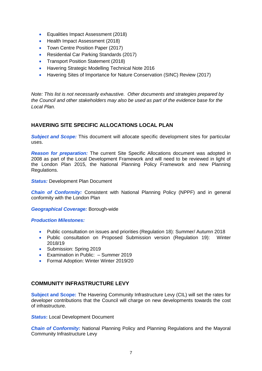- **Equalities Impact Assessment (2018)**
- Health Impact Assessment (2018)
- Town Centre Position Paper (2017)
- Residential Car Parking Standards (2017)
- Transport Position Statement (2018)
- Havering Strategic Modelling Technical Note 2016
- Havering Sites of Importance for Nature Conservation (SINC) Review (2017)

*Note: This list is not necessarily exhaustive. Other documents and strategies prepared by the Council and other stakeholders may also be used as part of the evidence base for the Local Plan.* 

#### **HAVERING SITE SPECIFIC ALLOCATIONS LOCAL PLAN**

*Subject and Scope:* This document will allocate specific development sites for particular uses.

*Reason for preparation:* The current Site Specific Allocations document was adopted in 2008 as part of the Local Development Framework and will need to be reviewed in light of the London Plan 2015, the National Planning Policy Framework and new Planning Regulations.

#### **Status: Development Plan Document**

*Chain of Conformity:* Consistent with National Planning Policy (NPPF) and in general conformity with the London Plan

*Geographical Coverage:* Borough-wide

#### *Production Milestones:*

- Public consultation on issues and priorities (Regulation 18): Summer/ Autumn 2018
- Public consultation on Proposed Submission version (Regulation 19): Winter 2018/19
- Submission: Spring 2019
- Examination in Public: Summer 2019
- Formal Adoption: Winter Winter 2019/20

#### **COMMUNITY INFRASTRUCTURE LEVY**

**Subject and Scope:** The Havering Community Infrastructure Levy (CIL) will set the rates for developer contributions that the Council will charge on new developments towards the cost of infrastructure.

**Status:** Local Development Document

**Chain of Conformity:** National Planning Policy and Planning Regulations and the Mayoral Community Infrastructure Levy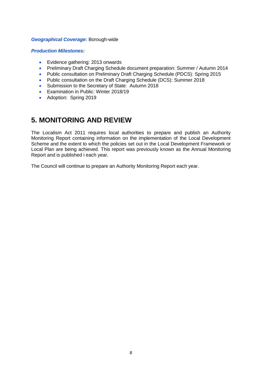#### *Geographical Coverage***:** Borough-wide

#### *Production Milestones:*

- **•** Evidence gathering: 2013 onwards
- Preliminary Draft Charging Schedule document preparation: Summer / Autumn 2014
- Public consultation on Preliminary Draft Charging Schedule (PDCS): Spring 2015
- Public consultation on the Draft Charging Schedule (DCS): Summer 2018
- Submission to the Secretary of State: Autumn 2018
- **Examination in Public: Winter 2018/19**
- Adoption: Spring 2019

# <span id="page-7-0"></span>**5. MONITORING AND REVIEW**

The Localism Act 2011 requires local authorities to prepare and publish an Authority Monitoring Report containing information on the implementation of the Local Development Scheme and the extent to which the policies set out in the Local Development Framework or Local Plan are being achieved. This report was previously known as the Annual Monitoring Report and is published i each year.

The Council will continue to prepare an Authority Monitoring Report each year.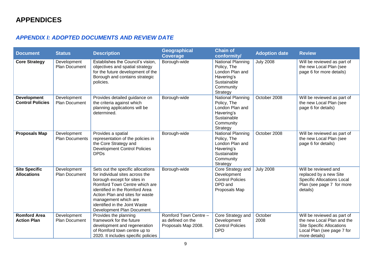## *APPENDIX I: ADOPTED DOCUMENTS AND REVIEW DATE*

<span id="page-8-0"></span>

| <b>Document</b>                               | <b>Status</b>                        | <b>Description</b>                                                                                                                                                                                                                                                                               | <b>Geographical</b><br><b>Coverage</b>                            | <b>Chain of</b><br>conformity/                                                                                   | <b>Adoption date</b> | <b>Review</b>                                                                                                                                |
|-----------------------------------------------|--------------------------------------|--------------------------------------------------------------------------------------------------------------------------------------------------------------------------------------------------------------------------------------------------------------------------------------------------|-------------------------------------------------------------------|------------------------------------------------------------------------------------------------------------------|----------------------|----------------------------------------------------------------------------------------------------------------------------------------------|
| <b>Core Strategy</b>                          | Development<br><b>Plan Document</b>  | Establishes the Council's vision,<br>objectives and spatial strategy<br>for the future development of the<br>Borough and contains strategic<br>policies.                                                                                                                                         | Borough-wide                                                      | <b>National Planning</b><br>Policy, The<br>London Plan and<br>Havering's<br>Sustainable<br>Community<br>Strategy | <b>July 2008</b>     | Will be reviewed as part of<br>the new Local Plan (see<br>page 6 for more details)                                                           |
| <b>Development</b><br><b>Control Policies</b> | Development<br><b>Plan Document</b>  | Provides detailed guidance on<br>the criteria against which<br>planning applications will be<br>determined.                                                                                                                                                                                      | Borough-wide                                                      | <b>National Planning</b><br>Policy, The<br>London Plan and<br>Havering's<br>Sustainable<br>Community<br>Strategy | October 2008         | Will be reviewed as part of<br>the new Local Plan (see<br>page 6 for details)                                                                |
| <b>Proposals Map</b>                          | Development<br><b>Plan Documents</b> | Provides a spatial<br>representation of the policies in<br>the Core Strategy and<br><b>Development Control Policies</b><br><b>DPDs</b>                                                                                                                                                           | Borough-wide                                                      | <b>National Planning</b><br>Policy, The<br>London Plan and<br>Havering's<br>Sustainable<br>Community<br>Strategy | October 2008         | Will be reviewed as part of<br>the new Local Plan (see<br>page 6 for details)                                                                |
| <b>Site Specific</b><br><b>Allocations</b>    | Development<br>Plan Document         | Sets out the specific allocations<br>for individual sites across the<br>borough except for sites in<br>Romford Town Centre which are<br>identified in the Romford Area<br>Action Plan and sites for waste<br>management which are<br>identified in the Joint Waste<br>Development Plan Document. | Borough-wide                                                      | Core Strategy and<br>Development<br><b>Control Policies</b><br>DPD and<br>Proposals Map                          | <b>July 2008</b>     | Will be reviewed and<br>replaced by a new Site<br><b>Specific Allocations Local</b><br>Plan (see page 7 for more<br>details)                 |
| <b>Romford Area</b><br><b>Action Plan</b>     | Development<br>Plan Document         | Provides the planning<br>framework for the future<br>development and regeneration<br>of Romford town centre up to<br>2020. It includes specific policies                                                                                                                                         | Romford Town Centre -<br>as defined on the<br>Proposals Map 2008. | Core Strategy and<br>Development<br><b>Control Policies</b><br><b>DPD</b>                                        | October<br>2008      | Will be reviewed as part of<br>the new Local Plan and the<br><b>Site Specific Allocations</b><br>Local Plan (see page 7 for<br>more details) |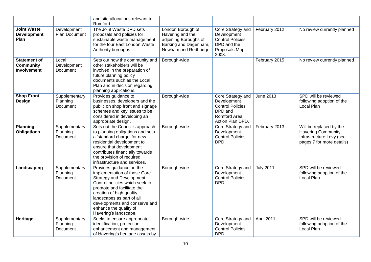|                                                               |                                       | and site allocations relevant to<br>Romford.                                                                                                                                                                                                                                                             |                                                                                                                 |                                                                                                            |                  |                                                                                                               |
|---------------------------------------------------------------|---------------------------------------|----------------------------------------------------------------------------------------------------------------------------------------------------------------------------------------------------------------------------------------------------------------------------------------------------------|-----------------------------------------------------------------------------------------------------------------|------------------------------------------------------------------------------------------------------------|------------------|---------------------------------------------------------------------------------------------------------------|
| <b>Joint Waste</b><br><b>Development</b><br>Plan              | Development<br>Plan Document          | The Joint Waste DPD sets<br>proposals and policies for<br>sustainable waste management<br>for the four East London Waste<br>Authority boroughs.                                                                                                                                                          | London Borough of<br>Havering and the<br>adjoining Boroughs of<br>Barking and Dagenham,<br>Newham and Redbridge | Core Strategy and<br>Development<br><b>Control Policies</b><br>DPD and the<br>Proposals Map<br>2008.       | February 2012    | No review currently planned                                                                                   |
| <b>Statement of</b><br><b>Community</b><br><b>Involvement</b> | Local<br>Development<br>Document      | Sets out how the community and<br>other stakeholders will be<br>involved in the preparation of<br>future planning policy<br>documents such as the Local<br>Plan and in decision regarding<br>planning applications.                                                                                      | Borough-wide                                                                                                    |                                                                                                            | February 2015    | No review currently planned                                                                                   |
| <b>Shop Front</b><br><b>Design</b>                            | Supplementary<br>Planning<br>Document | Provides guidance to<br>businesses, developers and the<br>public on shop front and signage<br>schemes and key issues to be<br>considered in developing an<br>appropriate design.                                                                                                                         | Borough-wide                                                                                                    | Core Strategy and<br>Development<br><b>Control Policies</b><br>DPD and<br>Romford Area<br>Action Plan DPD. | June 2013        | SPD will be reviewed<br>following adoption of the<br>Local Plan                                               |
| <b>Planning</b><br><b>Obligations</b>                         | Supplementary<br>Planning<br>Document | Sets out the Council's approach<br>to planning obligations and sets<br>a 'standard charge' for new<br>residential development to<br>ensure that development<br>contributes financially towards<br>the provision of required<br>infrastructure and services.                                              | Borough-wide                                                                                                    | Core Strategy and<br>Development<br><b>Control Policies</b><br><b>DPD</b>                                  | February 2013    | Will be replaced by the<br><b>Havering Community</b><br>Infrastructure Levy (see<br>pages 7 for more details) |
| Landscaping                                                   | Supplementary<br>Planning<br>Document | Provides guidance on the<br>implementation of those Core<br><b>Strategy and Development</b><br>Control policies which seek to<br>promote and facilitate the<br>creation of high quality<br>landscapes as part of all<br>developments and conserve and<br>enhance the quality of<br>Havering's landscape. | Borough-wide                                                                                                    | Core Strategy and<br>Development<br><b>Control Policies</b><br><b>DPD</b>                                  | <b>July 2011</b> | SPD will be reviewed<br>following adoption of the<br>Local Plan                                               |
| Heritage                                                      | Supplementary<br>Planning<br>Document | Seeks to ensure appropriate<br>identification, protection,<br>enhancement and management<br>of Havering's heritage assets by                                                                                                                                                                             | Borough-wide                                                                                                    | Core Strategy and<br>Development<br><b>Control Policies</b><br><b>DPD</b>                                  | April 2011       | SPD will be reviewed<br>following adoption of the<br>Local Plan                                               |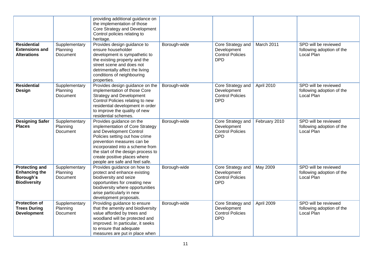|                                                                                   |                                       | providing additional guidance on<br>the implementation of those<br>Core Strategy and Development<br>Control policies relating to<br>heritage.                                                                                                                                                     |              |                                                                           |               |                                                                        |
|-----------------------------------------------------------------------------------|---------------------------------------|---------------------------------------------------------------------------------------------------------------------------------------------------------------------------------------------------------------------------------------------------------------------------------------------------|--------------|---------------------------------------------------------------------------|---------------|------------------------------------------------------------------------|
| <b>Residential</b><br><b>Extensions and</b><br><b>Alterations</b>                 | Supplementary<br>Planning<br>Document | Provides design guidance to<br>ensure householder<br>development is sympathetic to<br>the existing property and the<br>street scene and does not<br>detrimentally affect the living<br>conditions of neighbouring<br>properties.                                                                  | Borough-wide | Core Strategy and<br>Development<br><b>Control Policies</b><br><b>DPD</b> | March 2011    | SPD will be reviewed<br>following adoption of the<br>Local Plan        |
| <b>Residential</b><br>Design                                                      | Supplementary<br>Planning<br>Document | Provides design guidance on the<br>implementation of those Core<br><b>Strategy and Development</b><br>Control Policies relating to new<br>residential development in order<br>to improve the quality of new<br>residential schemes.                                                               | Borough-wide | Core Strategy and<br>Development<br><b>Control Policies</b><br><b>DPD</b> | April 2010    | SPD will be reviewed<br>following adoption of the<br>Local Plan        |
| <b>Designing Safer</b><br><b>Places</b>                                           | Supplementary<br>Planning<br>Document | Provides guidance on the<br>implementation of Core Strategy<br>and Development Control<br>Policies setting out how crime<br>prevention measures can be<br>incorporated into a scheme from<br>the start of the design process to<br>create positive places where<br>people are safe and feel safe. | Borough-wide | Core Strategy and<br>Development<br><b>Control Policies</b><br><b>DPD</b> | February 2010 | SPD will be reviewed<br>following adoption of the<br>Local Plan        |
| <b>Protecting and</b><br><b>Enhancing the</b><br>Borough's<br><b>Biodiversity</b> | Supplementary<br>Planning<br>Document | Provides guidance on how to<br>protect and enhance existing<br>biodiversity and seize<br>opportunities for creating new<br>biodiversity where opportunities<br>arise particularly in new<br>development proposals.                                                                                | Borough-wide | Core Strategy and<br>Development<br><b>Control Policies</b><br><b>DPD</b> | May 2009      | SPD will be reviewed<br>following adoption of the<br>Local Plan        |
| <b>Protection of</b><br><b>Trees During</b><br><b>Development</b>                 | Supplementary<br>Planning<br>Document | Providing guidance to ensure<br>that the amenity and biodiversity<br>value afforded by trees and<br>woodland will be protected and<br>improved. In particular, it seeks<br>to ensure that adequate<br>measures are put in place when                                                              | Borough-wide | Core Strategy and<br>Development<br><b>Control Policies</b><br><b>DPD</b> | April 2009    | SPD will be reviewed<br>following adoption of the<br><b>Local Plan</b> |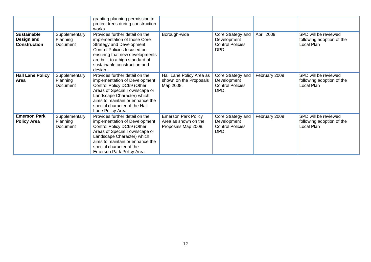|                                                         |                                       | granting planning permission to<br>protect trees during construction<br>works.                                                                                                                                                                           |                                                                           |                                                                           |               |                                                                 |
|---------------------------------------------------------|---------------------------------------|----------------------------------------------------------------------------------------------------------------------------------------------------------------------------------------------------------------------------------------------------------|---------------------------------------------------------------------------|---------------------------------------------------------------------------|---------------|-----------------------------------------------------------------|
| <b>Sustainable</b><br>Design and<br><b>Construction</b> | Supplementary<br>Planning<br>Document | Provides further detail on the<br>implementation of those Core<br><b>Strategy and Development</b><br>Control Policies focused on<br>ensuring that new developments<br>are built to a high standard of<br>sustainable construction and<br>design.         | Borough-wide                                                              | Core Strategy and<br>Development<br><b>Control Policies</b><br><b>DPD</b> | April 2009    | SPD will be reviewed<br>following adoption of the<br>Local Plan |
| <b>Hall Lane Policy</b><br>Area                         | Supplementary<br>Planning<br>Document | Provides further detail on the<br>implementation of Development<br>Control Policy DC69 (Other<br>Areas of Special Townscape or<br>Landscape Character) which<br>aims to maintain or enhance the<br>special character of the Hall<br>Lane Policy Area.    | Hall Lane Policy Area as<br>shown on the Proposals<br>Map 2008.           | Core Strategy and<br>Development<br><b>Control Policies</b><br><b>DPD</b> | February 2009 | SPD will be reviewed<br>following adoption of the<br>Local Plan |
| <b>Emerson Park</b><br><b>Policy Area</b>               | Supplementary<br>Planning<br>Document | Provides further detail on the<br>implementation of Development<br>Control Policy DC69 (Other<br>Areas of Special Townscape or<br>Landscape Character) which<br>aims to maintain or enhance the<br>special character of the<br>Emerson Park Policy Area. | <b>Emerson Park Policy</b><br>Area as shown on the<br>Proposals Map 2008. | Core Strategy and<br>Development<br><b>Control Policies</b><br><b>DPD</b> | February 2009 | SPD will be reviewed<br>following adoption of the<br>Local Plan |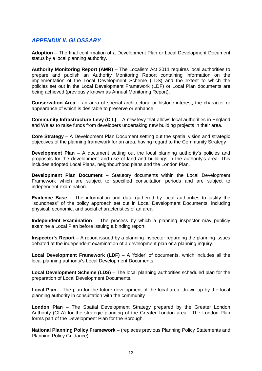### *APPENDIX II. GLOSSARY*

**Adoption** – The final confirmation of a Development Plan or Local Development Document status by a local planning authority.

**Authority Monitoring Report (AMR)** – The Localism Act 2011 requires local authorities to prepare and publish an Authority Monitoring Report containing information on the implementation of the Local Development Scheme (LDS) and the extent to which the policies set out in the Local Development Framework (LDF) or Local Plan documents are being achieved (previously known as Annual Monitoring Report).

**Conservation Area** – an area of special architectural or historic interest, the character or appearance of which is desirable to preserve or enhance.

**Community Infrastructure Levy (CIL)** – A new levy that allows local authorities in England and Wales to raise funds from developers undertaking new building projects in their area.

**Core Strategy** – A Development Plan Document setting out the spatial vision and strategic objectives of the planning framework for an area, having regard to the Community Strategy

**Development Plan** – A document setting out the local planning authority's policies and proposals for the development and use of land and buildings in the authority's area. This includes adopted Local Plans, neighbourhood plans and the London Plan.

**Development Plan Document** – Statutory documents within the Local Development Framework which are subject to specified consultation periods and are subject to independent examination.

**Evidence Base** – The information and data gathered by local authorities to justify the "soundness" of the policy approach set out in Local Development Documents, including physical, economic, and social characteristics of an area.

**Independent Examination** – The process by which a planning inspector may publicly examine a Local Plan before issuing a binding report.

**Inspector's Report** – A report issued by a planning inspector regarding the planning issues debated at the independent examination of a development plan or a planning inquiry.

**Local Development Framework (LDF)** – A 'folder' of documents, which includes all the local planning authority's Local Development Documents.

**Local Development Scheme (LDS)** – The local planning authorities scheduled plan for the preparation of Local Development Documents.

**Local Plan** – The plan for the future development of the local area, drawn up by the local planning authority in consultation with the community

**London Plan** – The Spatial Development Strategy prepared by the Greater London Authority (GLA) for the strategic planning of the Greater London area. The London Plan forms part of the Development Plan for the Borough.

**National Planning Policy Framework** – (replaces previous Planning Policy Statements and Planning Policy Guidance)